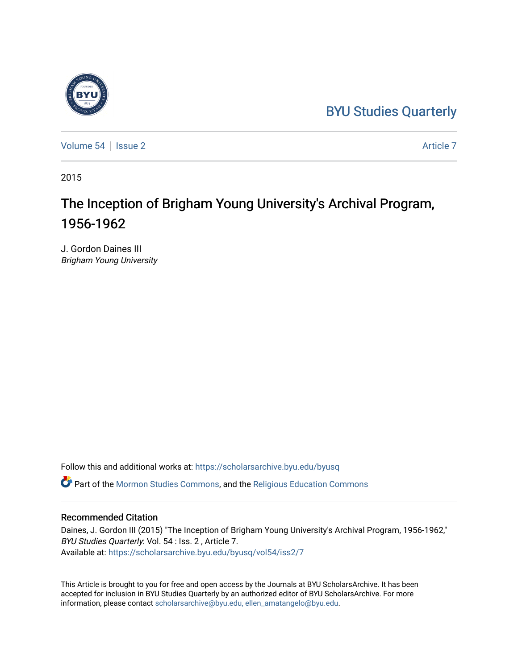# [BYU Studies Quarterly](https://scholarsarchive.byu.edu/byusq)



[Volume 54](https://scholarsarchive.byu.edu/byusq/vol54) | [Issue 2](https://scholarsarchive.byu.edu/byusq/vol54/iss2) Article 7

2015

# The Inception of Brigham Young University's Archival Program, 1956-1962

J. Gordon Daines III Brigham Young University

Follow this and additional works at: [https://scholarsarchive.byu.edu/byusq](https://scholarsarchive.byu.edu/byusq?utm_source=scholarsarchive.byu.edu%2Fbyusq%2Fvol54%2Fiss2%2F7&utm_medium=PDF&utm_campaign=PDFCoverPages) 

Part of the [Mormon Studies Commons](http://network.bepress.com/hgg/discipline/1360?utm_source=scholarsarchive.byu.edu%2Fbyusq%2Fvol54%2Fiss2%2F7&utm_medium=PDF&utm_campaign=PDFCoverPages), and the [Religious Education Commons](http://network.bepress.com/hgg/discipline/1414?utm_source=scholarsarchive.byu.edu%2Fbyusq%2Fvol54%2Fiss2%2F7&utm_medium=PDF&utm_campaign=PDFCoverPages) 

### Recommended Citation

Daines, J. Gordon III (2015) "The Inception of Brigham Young University's Archival Program, 1956-1962," BYU Studies Quarterly: Vol. 54 : Iss. 2 , Article 7. Available at: [https://scholarsarchive.byu.edu/byusq/vol54/iss2/7](https://scholarsarchive.byu.edu/byusq/vol54/iss2/7?utm_source=scholarsarchive.byu.edu%2Fbyusq%2Fvol54%2Fiss2%2F7&utm_medium=PDF&utm_campaign=PDFCoverPages)

This Article is brought to you for free and open access by the Journals at BYU ScholarsArchive. It has been accepted for inclusion in BYU Studies Quarterly by an authorized editor of BYU ScholarsArchive. For more information, please contact [scholarsarchive@byu.edu, ellen\\_amatangelo@byu.edu.](mailto:scholarsarchive@byu.edu,%20ellen_amatangelo@byu.edu)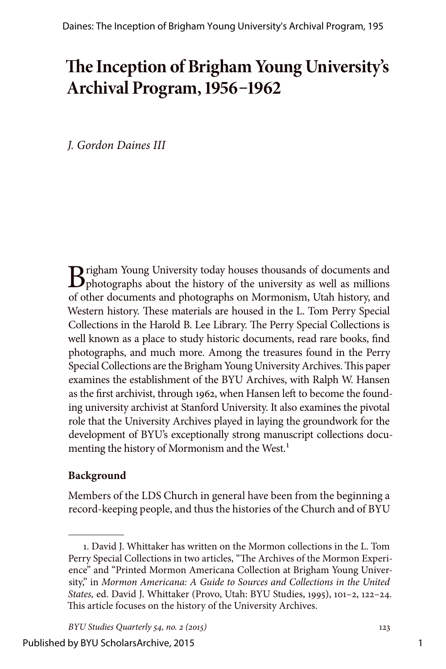# **The Inception of Brigham Young University's Archival Program, 1956–1962**

*J. Gordon Daines III*

**B**righam Young University today houses thousands of documents and photographs about the history of the university as well as millions of other documents and photographs on Mormonism, Utah history, and Western history. These materials are housed in the L. Tom Perry Special Collections in the Harold B. Lee Library. The Perry Special Collections is well known as a place to study historic documents, read rare books, find photographs, and much more. Among the treasures found in the Perry Special Collections are the Brigham Young University Archives. This paper examines the establishment of the BYU Archives, with Ralph W. Hansen as the first archivist, through 1962, when Hansen left to become the founding university archivist at Stanford University. It also examines the pivotal role that the University Archives played in laying the groundwork for the development of BYU's exceptionally strong manuscript collections documenting the history of Mormonism and the West.<sup>1</sup>

## **Background**

Members of the LDS Church in general have been from the beginning a record-keeping people, and thus the histories of the Church and of BYU

<sup>1.</sup> David J. Whittaker has written on the Mormon collections in the L. Tom Perry Special Collections in two articles, "The Archives of the Mormon Experience" and "Printed Mormon Americana Collection at Brigham Young University," in *Mormon Americana: A Guide to Sources and Collections in the United States,* ed. David J. Whittaker (Provo, Utah: BYU Studies, 1995), 101–2, 122–24. This article focuses on the history of the University Archives.

*BYU Studies Quarterly 54, no. 2 (2015)* 123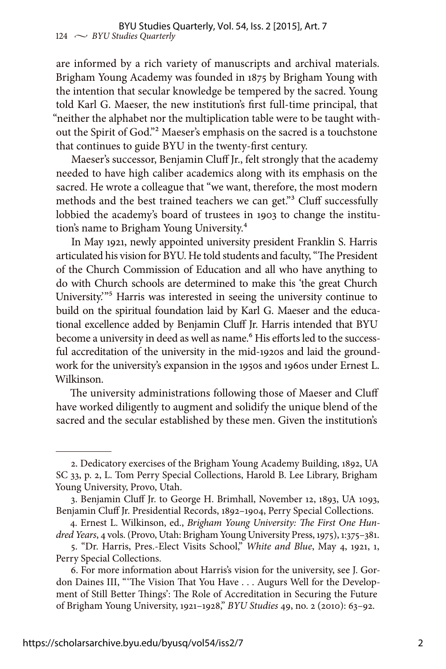are informed by a rich variety of manuscripts and archival materials. Brigham Young Academy was founded in 1875 by Brigham Young with the intention that secular knowledge be tempered by the sacred. Young told Karl G. Maeser, the new institution's first full-time principal, that "neither the alphabet nor the multiplication table were to be taught without the Spirit of God."2 Maeser's emphasis on the sacred is a touchstone that continues to guide BYU in the twenty-first century.

Maeser's successor, Benjamin Cluff Jr., felt strongly that the academy needed to have high caliber academics along with its emphasis on the sacred. He wrote a colleague that "we want, therefore, the most modern methods and the best trained teachers we can get."3 Cluff successfully lobbied the academy's board of trustees in 1903 to change the institution's name to Brigham Young University.4

In May 1921, newly appointed university president Franklin S. Harris articulated his vision for BYU. He told students and faculty, "The President of the Church Commission of Education and all who have anything to do with Church schools are determined to make this 'the great Church University.'"5 Harris was interested in seeing the university continue to build on the spiritual foundation laid by Karl G. Maeser and the educational excellence added by Benjamin Cluff Jr. Harris intended that BYU become a university in deed as well as name.<sup>6</sup> His efforts led to the successful accreditation of the university in the mid-1920s and laid the groundwork for the university's expansion in the 1950s and 1960s under Ernest L. Wilkinson.

The university administrations following those of Maeser and Cluff have worked diligently to augment and solidify the unique blend of the sacred and the secular established by these men. Given the institution's

<sup>2.</sup> Dedicatory exercises of the Brigham Young Academy Building, 1892, UA SC 33, p. 2, L. Tom Perry Special Collections, Harold B. Lee Library, Brigham Young University, Provo, Utah.

<sup>3.</sup> Benjamin Cluff Jr. to George H. Brimhall, November 12, 1893, UA 1093, Benjamin Cluff Jr. Presidential Records, 1892–1904, Perry Special Collections.

<sup>4.</sup> Ernest L. Wilkinson, ed., *Brigham Young University: The First One Hundred Years*, 4 vols. (Provo, Utah: Brigham Young University Press, 1975), 1:375–381.

<sup>5. &</sup>quot;Dr. Harris, Pres.-Elect Visits School," *White and Blue*, May 4, 1921, 1, Perry Special Collections.

<sup>6.</sup> For more information about Harris's vision for the university, see J. Gordon Daines III, "'The Vision That You Have . . . Augurs Well for the Development of Still Better Things': The Role of Accreditation in Securing the Future of Brigham Young University, 1921–1928," *BYU Studies* 49, no. 2 (2010): 63–92.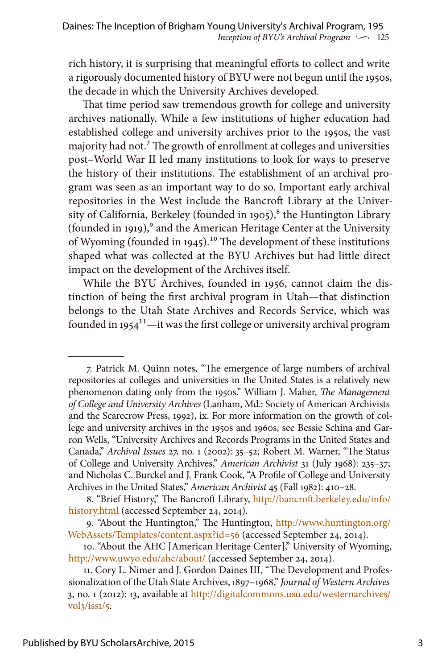rich history, it is surprising that meaningful efforts to collect and write a rigorously documented history of BYU were not begun until the 1950s, the decade in which the University Archives developed.

That time period saw tremendous growth for college and university archives nationally. While a few institutions of higher education had established college and university archives prior to the 1950s, the vast majority had not.7 The growth of enrollment at colleges and universities post–World War II led many institutions to look for ways to preserve the history of their institutions. The establishment of an archival program was seen as an important way to do so. Important early archival repositories in the West include the Bancroft Library at the University of California, Berkeley (founded in 1905), $^8$  the Huntington Library (founded in 1919), $9$  and the American Heritage Center at the University of Wyoming (founded in 1945).<sup>10</sup> The development of these institutions shaped what was collected at the BYU Archives but had little direct impact on the development of the Archives itself.

While the BYU Archives, founded in 1956, cannot claim the distinction of being the first archival program in Utah—that distinction belongs to the Utah State Archives and Records Service, which was founded in  $1954^{11}$ —it was the first college or university archival program

<sup>7.</sup> Patrick M. Quinn notes, "The emergence of large numbers of archival repositories at colleges and universities in the United States is a relatively new phenomenon dating only from the 1950s." William J. Maher, *The Management of College and University Archives* (Lanham, Md.: Society of American Archivists and the Scarecrow Press, 1992), ix. For more information on the growth of college and university archives in the 1950s and 1960s, see Bessie Schina and Garron Wells, "University Archives and Records Programs in the United States and Canada," *Archival Issues* 27, no. 1 (2002): 35–52; Robert M. Warner, "The Status of College and University Archives," *American Archivist* 31 (July 1968): 235–37; and Nicholas C. Burckel and J. Frank Cook, "A Profile of College and University Archives in the United States," *American Archivist* 45 (Fall 1982): 410–28.

<sup>8. &</sup>quot;Brief History," The Bancroft Library, [http://bancroft.berkeley.edu/info/](http://bancroft.berkeley.edu/info/history.html) [history.html](http://bancroft.berkeley.edu/info/history.html) (accessed September 24, 2014).

<sup>9. &</sup>quot;About the Huntington," The Huntington, [http://www.huntington.org/](http://www.huntington.org/WebAssets/Templates/content.aspx?id=56) [WebAssets/Templates/content.aspx?id=56](http://www.huntington.org/WebAssets/Templates/content.aspx?id=56) (accessed September 24, 2014).

<sup>10. &</sup>quot;About the AHC [American Heritage Center]," University of Wyoming, <http://www.uwyo.edu/ahc/about/> (accessed September 24, 2014).

<sup>11.</sup> Cory L. Nimer and J. Gordon Daines III, "The Development and Professionalization of the Utah State Archives, 1897–1968," *Journal of Western Archives* 3, no. 1 (2012): 13, available at [http://digitalcommons.usu.edu/westernarchives/](http://digitalcommons.usu.edu/westernarchives/vol3/iss1/5) [vol3/iss1/5](http://digitalcommons.usu.edu/westernarchives/vol3/iss1/5).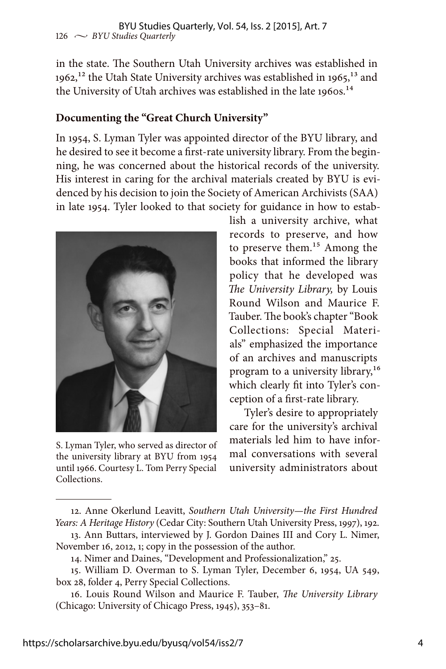in the state. The Southern Utah University archives was established in  $1962$ <sup>12</sup> the Utah State University archives was established in  $1965$ <sup>13</sup> and the University of Utah archives was established in the late 1960s.<sup>14</sup>

### **Documenting the "Great Church University"**

In 1954, S. Lyman Tyler was appointed director of the BYU library, and he desired to see it become a first-rate university library. From the beginning, he was concerned about the historical records of the university. His interest in caring for the archival materials created by BYU is evidenced by his decision to join the Society of American Archivists (SAA) in late 1954. Tyler looked to that society for guidance in how to estab-



S. Lyman Tyler, who served as director of the university library at BYU from 1954 until 1966. Courtesy L. Tom Perry Special Collections.

lish a university archive, what records to preserve, and how to preserve them.15 Among the books that informed the library policy that he developed was *The University Library,* by Louis Round Wilson and Maurice F. Tauber. The book's chapter "Book Collections: Special Materials" emphasized the importance of an archives and manuscripts program to a university library,<sup>16</sup> which clearly fit into Tyler's conception of a first-rate library.

Tyler's desire to appropriately care for the university's archival materials led him to have informal conversations with several university administrators about

<sup>12.</sup> Anne Okerlund Leavitt, *Southern Utah University—the First Hundred Years: A Heritage History* (Cedar City: Southern Utah University Press, 1997), 192.

<sup>13.</sup> Ann Buttars, interviewed by J. Gordon Daines III and Cory L. Nimer, November 16, 2012, 1; copy in the possession of the author.

<sup>14.</sup> Nimer and Daines, "Development and Professionalization," 25.

<sup>15.</sup> William D. Overman to S. Lyman Tyler, December 6, 1954, UA 549, box 28, folder 4, Perry Special Collections.

<sup>16.</sup> Louis Round Wilson and Maurice F. Tauber, *The University Library* (Chicago: University of Chicago Press, 1945), 353–81.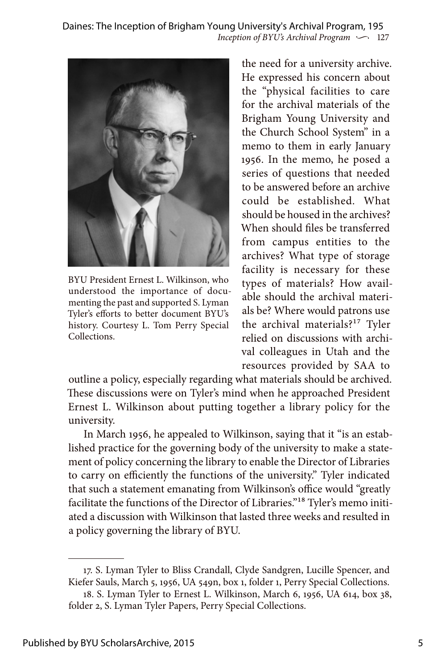*Inception of BYU's Archival Program*  $\sim$  127 Daines: The Inception of Brigham Young University's Archival Program, 195



BYU President Ernest L. Wilkinson, who understood the importance of documenting the past and supported S. Lyman Tyler's efforts to better document BYU's history. Courtesy L. Tom Perry Special Collections.

the need for a university archive. He expressed his concern about the "physical facilities to care for the archival materials of the Brigham Young University and the Church School System" in a memo to them in early January 1956. In the memo, he posed a series of questions that needed to be answered before an archive could be established. What should be housed in the archives? When should files be transferred from campus entities to the archives? What type of storage facility is necessary for these types of materials? How available should the archival materials be? Where would patrons use the archival materials?17 Tyler relied on discussions with archival colleagues in Utah and the resources provided by SAA to

outline a policy, especially regarding what materials should be archived. These discussions were on Tyler's mind when he approached President Ernest L. Wilkinson about putting together a library policy for the university.

In March 1956, he appealed to Wilkinson, saying that it "is an established practice for the governing body of the university to make a statement of policy concerning the library to enable the Director of Libraries to carry on efficiently the functions of the university." Tyler indicated that such a statement emanating from Wilkinson's office would "greatly facilitate the functions of the Director of Libraries."18 Tyler's memo initiated a discussion with Wilkinson that lasted three weeks and resulted in a policy governing the library of BYU.

<sup>17.</sup> S. Lyman Tyler to Bliss Crandall, Clyde Sandgren, Lucille Spencer, and Kiefer Sauls, March 5, 1956, UA 549n, box 1, folder 1, Perry Special Collections.

<sup>18.</sup> S. Lyman Tyler to Ernest L. Wilkinson, March 6, 1956, UA 614, box 38, folder 2, S. Lyman Tyler Papers, Perry Special Collections.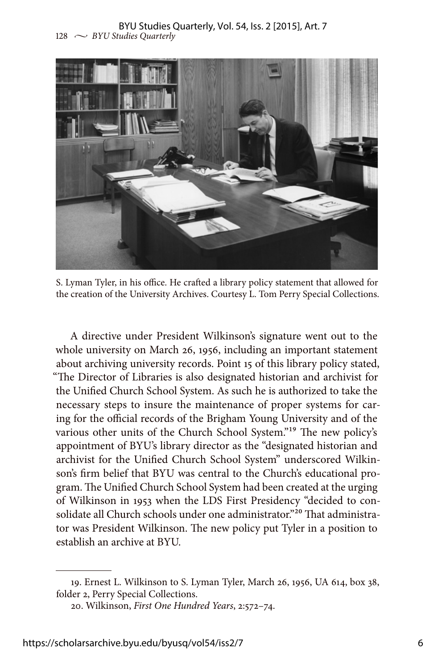#### $128 \sim$  *BYU Studies Quarterly* BYU Studies Quarterly, Vol. 54, Iss. 2 [2015], Art. 7



S. Lyman Tyler, in his office. He crafted a library policy statement that allowed for the creation of the University Archives. Courtesy L. Tom Perry Special Collections.

A directive under President Wilkinson's signature went out to the whole university on March 26, 1956, including an important statement about archiving university records. Point 15 of this library policy stated, "The Director of Libraries is also designated historian and archivist for the Unified Church School System. As such he is authorized to take the necessary steps to insure the maintenance of proper systems for caring for the official records of the Brigham Young University and of the various other units of the Church School System."19 The new policy's appointment of BYU's library director as the "designated historian and archivist for the Unified Church School System" underscored Wilkinson's firm belief that BYU was central to the Church's educational program. The Unified Church School System had been created at the urging of Wilkinson in 1953 when the LDS First Presidency "decided to consolidate all Church schools under one administrator."<sup>20</sup> That administrator was President Wilkinson. The new policy put Tyler in a position to establish an archive at BYU.

<sup>19.</sup> Ernest L. Wilkinson to S. Lyman Tyler, March 26, 1956, UA 614, box 38, folder 2, Perry Special Collections.

<sup>20.</sup> Wilkinson, *First One Hundred Years*, 2:572–74.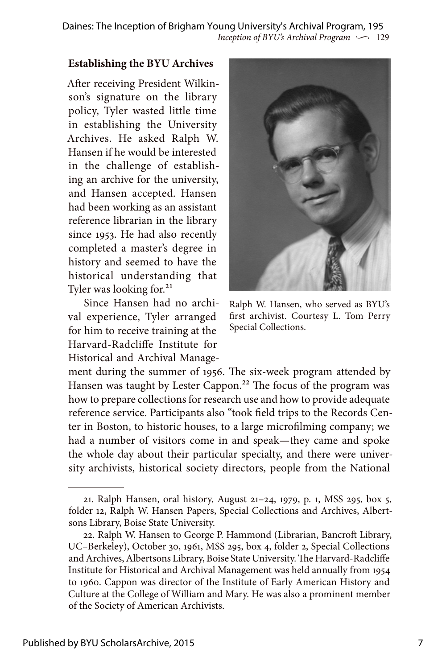*Inception of BYU's Archival Program*  $\sim$  129 Daines: The Inception of Brigham Young University's Archival Program, 195

#### **Establishing the BYU Archives**

After receiving President Wilkinson's signature on the library policy, Tyler wasted little time in establishing the University Archives. He asked Ralph W. Hansen if he would be interested in the challenge of establishing an archive for the university, and Hansen accepted. Hansen had been working as an assistant reference librarian in the library since 1953. He had also recently completed a master's degree in history and seemed to have the historical understanding that Tyler was looking for.<sup>21</sup>

Since Hansen had no archival experience, Tyler arranged for him to receive training at the Harvard-Radcliffe Institute for Historical and Archival Manage-



Ralph W. Hansen, who served as BYU's first archivist. Courtesy L. Tom Perry Special Collections.

ment during the summer of 1956. The six-week program attended by Hansen was taught by Lester Cappon.<sup>22</sup> The focus of the program was how to prepare collections for research use and how to provide adequate reference service. Participants also "took field trips to the Records Center in Boston, to historic houses, to a large microfilming company; we had a number of visitors come in and speak—they came and spoke the whole day about their particular specialty, and there were university archivists, historical society directors, people from the National

<sup>21.</sup> Ralph Hansen, oral history, August 21–24, 1979, p. 1, MSS 295, box 5, folder 12, Ralph W. Hansen Papers, Special Collections and Archives, Albertsons Library, Boise State University.

<sup>22.</sup> Ralph W. Hansen to George P. Hammond (Librarian, Bancroft Library, UC–Berkeley), October 30, 1961, MSS 295, box 4, folder 2, Special Collections and Archives, Albertsons Library, Boise State University. The Harvard-Radcliffe Institute for Historical and Archival Management was held annually from 1954 to 1960. Cappon was director of the Institute of Early American History and Culture at the College of William and Mary. He was also a prominent member of the Society of American Archivists.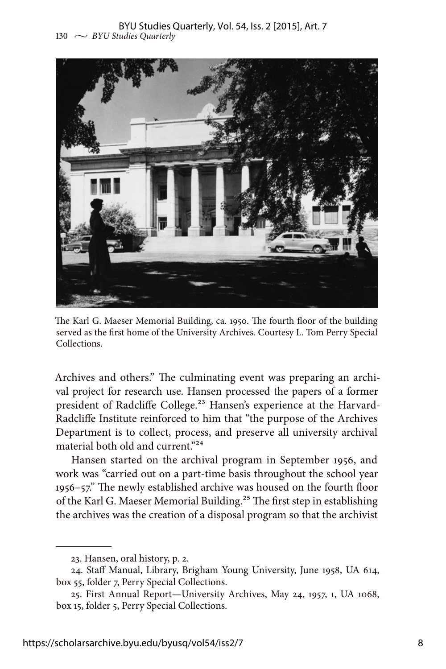

The Karl G. Maeser Memorial Building, ca. 1950. The fourth floor of the building served as the first home of the University Archives. Courtesy L. Tom Perry Special Collections.

Archives and others." The culminating event was preparing an archival project for research use. Hansen processed the papers of a former president of Radcliffe College.<sup>23</sup> Hansen's experience at the Harvard-Radcliffe Institute reinforced to him that "the purpose of the Archives Department is to collect, process, and preserve all university archival material both old and current."24

Hansen started on the archival program in September 1956, and work was "carried out on a part-time basis throughout the school year 1956–57." The newly established archive was housed on the fourth floor of the Karl G. Maeser Memorial Building.<sup>25</sup> The first step in establishing the archives was the creation of a disposal program so that the archivist

<sup>23.</sup> Hansen, oral history, p. 2.

<sup>24.</sup> Staff Manual, Library, Brigham Young University, June 1958, UA 614, box 55, folder 7, Perry Special Collections.

<sup>25.</sup> First Annual Report—University Archives, May 24, 1957, 1, UA 1068, box 15, folder 5, Perry Special Collections.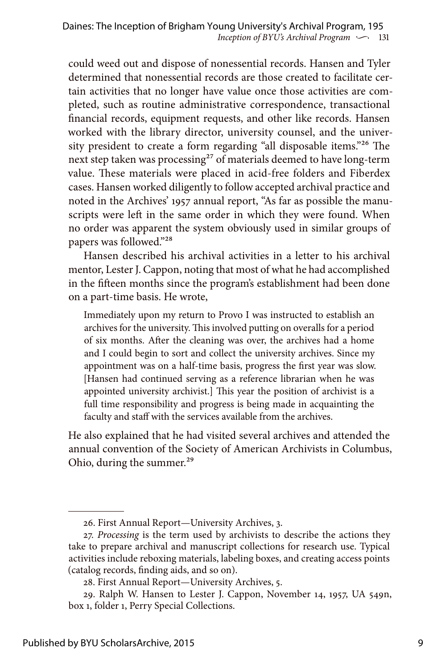could weed out and dispose of nonessential records. Hansen and Tyler determined that nonessential records are those created to facilitate certain activities that no longer have value once those activities are completed, such as routine administrative correspondence, transactional financial records, equipment requests, and other like records. Hansen worked with the library director, university counsel, and the university president to create a form regarding "all disposable items."26 The next step taken was processing<sup>27</sup> of materials deemed to have long-term value. These materials were placed in acid-free folders and Fiberdex cases. Hansen worked diligently to follow accepted archival practice and noted in the Archives' 1957 annual report, "As far as possible the manuscripts were left in the same order in which they were found. When no order was apparent the system obviously used in similar groups of papers was followed."28

Hansen described his archival activities in a letter to his archival mentor, Lester J. Cappon, noting that most of what he had accomplished in the fifteen months since the program's establishment had been done on a part-time basis. He wrote,

Immediately upon my return to Provo I was instructed to establish an archives for the university. This involved putting on overalls for a period of six months. After the cleaning was over, the archives had a home and I could begin to sort and collect the university archives. Since my appointment was on a half-time basis, progress the first year was slow. [Hansen had continued serving as a reference librarian when he was appointed university archivist.] This year the position of archivist is a full time responsibility and progress is being made in acquainting the faculty and staff with the services available from the archives.

He also explained that he had visited several archives and attended the annual convention of the Society of American Archivists in Columbus, Ohio, during the summer.<sup>29</sup>

<sup>26.</sup> First Annual Report—University Archives, 3.

<sup>27.</sup> *Processing* is the term used by archivists to describe the actions they take to prepare archival and manuscript collections for research use. Typical activities include reboxing materials, labeling boxes, and creating access points (catalog records, finding aids, and so on).

<sup>28.</sup> First Annual Report—University Archives, 5.

<sup>29.</sup> Ralph W. Hansen to Lester J. Cappon, November 14, 1957, UA 549n, box 1, folder 1, Perry Special Collections.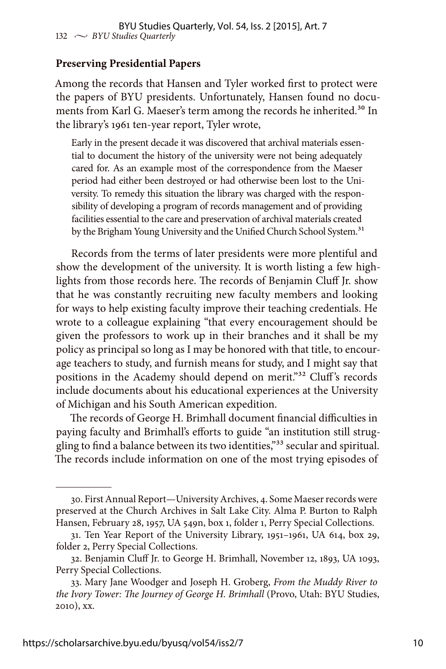#### **Preserving Presidential Papers**

Among the records that Hansen and Tyler worked first to protect were the papers of BYU presidents. Unfortunately, Hansen found no documents from Karl G. Maeser's term among the records he inherited.<sup>30</sup> In the library's 1961 ten-year report, Tyler wrote,

Early in the present decade it was discovered that archival materials essential to document the history of the university were not being adequately cared for. As an example most of the correspondence from the Maeser period had either been destroyed or had otherwise been lost to the University. To remedy this situation the library was charged with the responsibility of developing a program of records management and of providing facilities essential to the care and preservation of archival materials created by the Brigham Young University and the Unified Church School System.<sup>31</sup>

Records from the terms of later presidents were more plentiful and show the development of the university. It is worth listing a few highlights from those records here. The records of Benjamin Cluff Jr. show that he was constantly recruiting new faculty members and looking for ways to help existing faculty improve their teaching credentials. He wrote to a colleague explaining "that every encouragement should be given the professors to work up in their branches and it shall be my policy as principal so long as I may be honored with that title, to encourage teachers to study, and furnish means for study, and I might say that positions in the Academy should depend on merit."<sup>32</sup> Cluff's records include documents about his educational experiences at the University of Michigan and his South American expedition.

The records of George H. Brimhall document financial difficulties in paying faculty and Brimhall's efforts to guide "an institution still struggling to find a balance between its two identities,"<sup>33</sup> secular and spiritual. The records include information on one of the most trying episodes of

<sup>30.</sup> First Annual Report—University Archives, 4. Some Maeser records were preserved at the Church Archives in Salt Lake City. Alma P. Burton to Ralph Hansen, February 28, 1957, UA 549n, box 1, folder 1, Perry Special Collections.

<sup>31.</sup> Ten Year Report of the University Library, 1951–1961, UA 614, box 29, folder 2, Perry Special Collections.

<sup>32.</sup> Benjamin Cluff Jr. to George H. Brimhall, November 12, 1893, UA 1093, Perry Special Collections.

<sup>33.</sup> Mary Jane Woodger and Joseph H. Groberg, *From the Muddy River to the Ivory Tower: The Journey of George H. Brimhall* (Provo, Utah: BYU Studies, 2010), xx.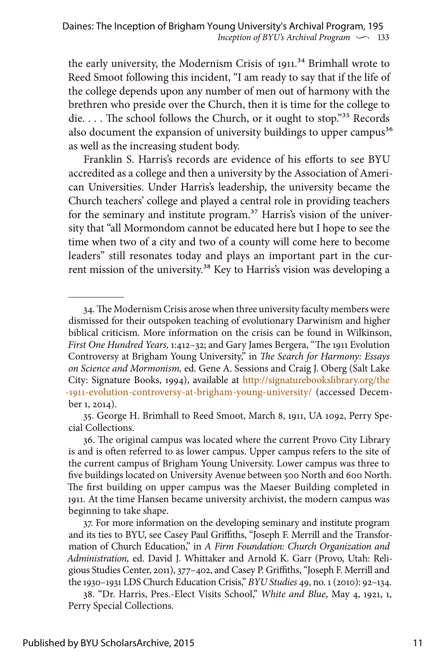the early university, the Modernism Crisis of  $1911$ <sup>34</sup> Brimhall wrote to Reed Smoot following this incident, "I am ready to say that if the life of the college depends upon any number of men out of harmony with the brethren who preside over the Church, then it is time for the college to die. . . . The school follows the Church, or it ought to stop."<sup>35</sup> Records also document the expansion of university buildings to upper campus<sup>36</sup> as well as the increasing student body.

Franklin S. Harris's records are evidence of his efforts to see BYU accredited as a college and then a university by the Association of American Universities. Under Harris's leadership, the university became the Church teachers' college and played a central role in providing teachers for the seminary and institute program.<sup>37</sup> Harris's vision of the university that "all Mormondom cannot be educated here but I hope to see the time when two of a city and two of a county will come here to become leaders" still resonates today and plays an important part in the current mission of the university.<sup>38</sup> Key to Harris's vision was developing a

<sup>34.</sup> The Modernism Crisis arose when three university faculty members were dismissed for their outspoken teaching of evolutionary Darwinism and higher biblical criticism. More information on the crisis can be found in Wilkinson, *First One Hundred Years,* 1:412–32; and Gary James Bergera, "The 1911 Evolution Controversy at Brigham Young University," in *The Search for Harmony: Essays on Science and Mormonism,* ed. Gene A. Sessions and Craig J. Oberg (Salt Lake City: Signature Books, 1994), available at [http://signaturebookslibrary.org/the](http://signaturebookslibrary.org/the-1911-evolution-controversy-at-brigham-young-university/) [-1911-evolution-controversy-at-brigham-young-university/](http://signaturebookslibrary.org/the-1911-evolution-controversy-at-brigham-young-university/) (accessed December 1, 2014).

<sup>35.</sup> George H. Brimhall to Reed Smoot, March 8, 1911, UA 1092, Perry Special Collections.

<sup>36.</sup> The original campus was located where the current Provo City Library is and is often referred to as lower campus. Upper campus refers to the site of the current campus of Brigham Young University. Lower campus was three to five buildings located on University Avenue between 500 North and 600 North. The first building on upper campus was the Maeser Building completed in 1911. At the time Hansen became university archivist, the modern campus was beginning to take shape.

<sup>37.</sup> For more information on the developing seminary and institute program and its ties to BYU, see Casey Paul Griffiths, "Joseph F. Merrill and the Transformation of Church Education," in *A Firm Foundation: Church Organization and Administration,* ed. David J. Whittaker and Arnold K. Garr (Provo, Utah: Religious Studies Center, 2011), 377–402, and Casey P. Griffiths, "Joseph F. Merrill and the 1930–1931 LDS Church Education Crisis," *BYU Studies* 49, no. 1 (2010): 92–134.

<sup>38. &</sup>quot;Dr. Harris, Pres.-Elect Visits School," *White and Blue*, May 4, 1921, 1, Perry Special Collections.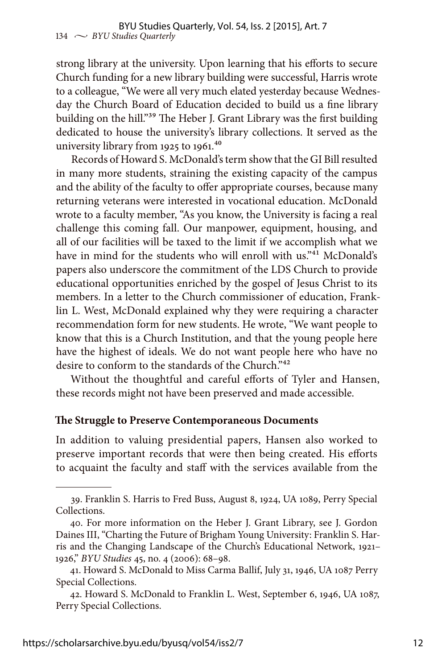strong library at the university. Upon learning that his efforts to secure Church funding for a new library building were successful, Harris wrote to a colleague, "We were all very much elated yesterday because Wednesday the Church Board of Education decided to build us a fine library building on the hill."<sup>39</sup> The Heber J. Grant Library was the first building dedicated to house the university's library collections. It served as the university library from 1925 to 1961.<sup>40</sup>

Records of Howard S. McDonald's term show that the GI Bill resulted in many more students, straining the existing capacity of the campus and the ability of the faculty to offer appropriate courses, because many returning veterans were interested in vocational education. McDonald wrote to a faculty member, "As you know, the University is facing a real challenge this coming fall. Our manpower, equipment, housing, and all of our facilities will be taxed to the limit if we accomplish what we have in mind for the students who will enroll with us."<sup>41</sup> McDonald's papers also underscore the commitment of the LDS Church to provide educational opportunities enriched by the gospel of Jesus Christ to its members. In a letter to the Church commissioner of education, Franklin L. West, McDonald explained why they were requiring a character recommendation form for new students. He wrote, "We want people to know that this is a Church Institution, and that the young people here have the highest of ideals. We do not want people here who have no desire to conform to the standards of the Church."42

Without the thoughtful and careful efforts of Tyler and Hansen, these records might not have been preserved and made accessible.

#### **The Struggle to Preserve Contemporaneous Documents**

In addition to valuing presidential papers, Hansen also worked to preserve important records that were then being created. His efforts to acquaint the faculty and staff with the services available from the

<sup>39.</sup> Franklin S. Harris to Fred Buss, August 8, 1924, UA 1089, Perry Special Collections.

<sup>40.</sup> For more information on the Heber J. Grant Library, see J. Gordon Daines III, "Charting the Future of Brigham Young University: Franklin S. Harris and the Changing Landscape of the Church's Educational Network, 1921– 1926," *BYU Studies* 45, no. 4 (2006): 68–98.

<sup>41.</sup> Howard S. McDonald to Miss Carma Ballif, July 31, 1946, UA 1087 Perry Special Collections.

<sup>42.</sup> Howard S. McDonald to Franklin L. West, September 6, 1946, UA 1087, Perry Special Collections.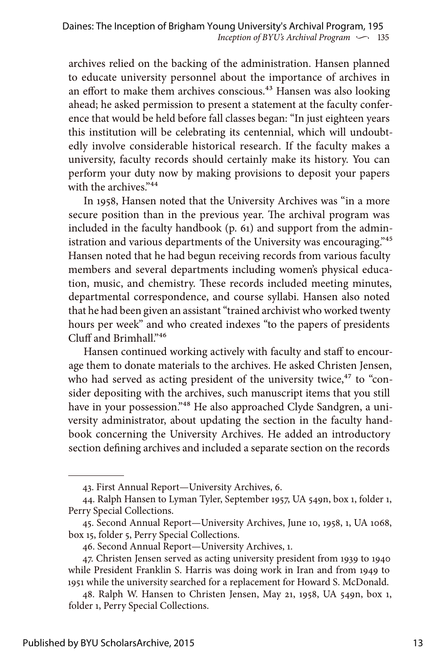archives relied on the backing of the administration. Hansen planned to educate university personnel about the importance of archives in an effort to make them archives conscious.<sup>43</sup> Hansen was also looking ahead; he asked permission to present a statement at the faculty conference that would be held before fall classes began: "In just eighteen years this institution will be celebrating its centennial, which will undoubtedly involve considerable historical research. If the faculty makes a university, faculty records should certainly make its history. You can perform your duty now by making provisions to deposit your papers with the archives."<sup>44</sup>

In 1958, Hansen noted that the University Archives was "in a more secure position than in the previous year. The archival program was included in the faculty handbook (p. 61) and support from the administration and various departments of the University was encouraging."45 Hansen noted that he had begun receiving records from various faculty members and several departments including women's physical education, music, and chemistry. These records included meeting minutes, departmental correspondence, and course syllabi. Hansen also noted that he had been given an assistant "trained archivist who worked twenty hours per week" and who created indexes "to the papers of presidents Cluff and Brimhall."46

Hansen continued working actively with faculty and staff to encourage them to donate materials to the archives. He asked Christen Jensen, who had served as acting president of the university twice, $47$  to "consider depositing with the archives, such manuscript items that you still have in your possession."<sup>48</sup> He also approached Clyde Sandgren, a university administrator, about updating the section in the faculty handbook concerning the University Archives. He added an introductory section defining archives and included a separate section on the records

<sup>43.</sup> First Annual Report—University Archives, 6.

<sup>44.</sup> Ralph Hansen to Lyman Tyler, September 1957, UA 549n, box 1, folder 1, Perry Special Collections.

<sup>45.</sup> Second Annual Report—University Archives, June 10, 1958, 1, UA 1068, box 15, folder 5, Perry Special Collections.

<sup>46.</sup> Second Annual Report—University Archives, 1.

<sup>47.</sup> Christen Jensen served as acting university president from 1939 to 1940 while President Franklin S. Harris was doing work in Iran and from 1949 to 1951 while the university searched for a replacement for Howard S. McDonald.

<sup>48.</sup> Ralph W. Hansen to Christen Jensen, May 21, 1958, UA 549n, box 1, folder 1, Perry Special Collections.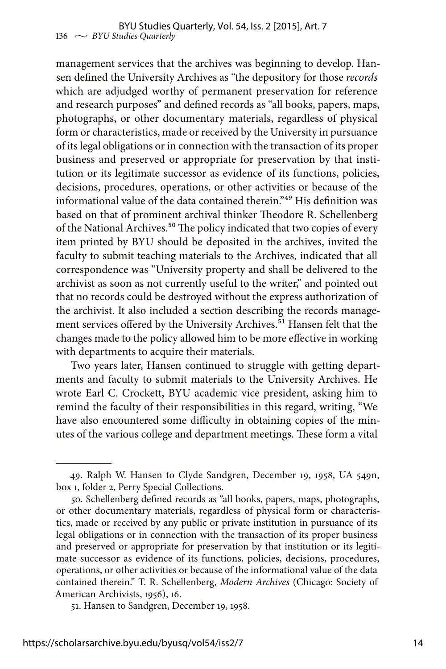management services that the archives was beginning to develop. Hansen defined the University Archives as "the depository for those *records* which are adjudged worthy of permanent preservation for reference and research purposes" and defined records as "all books, papers, maps, photographs, or other documentary materials, regardless of physical form or characteristics, made or received by the University in pursuance of its legal obligations or in connection with the transaction of its proper business and preserved or appropriate for preservation by that institution or its legitimate successor as evidence of its functions, policies, decisions, procedures, operations, or other activities or because of the informational value of the data contained therein."49 His definition was based on that of prominent archival thinker Theodore R. Schellenberg of the National Archives.50 The policy indicated that two copies of every item printed by BYU should be deposited in the archives, invited the faculty to submit teaching materials to the Archives, indicated that all correspondence was "University property and shall be delivered to the archivist as soon as not currently useful to the writer," and pointed out that no records could be destroyed without the express authorization of the archivist. It also included a section describing the records management services offered by the University Archives.<sup>51</sup> Hansen felt that the changes made to the policy allowed him to be more effective in working with departments to acquire their materials.

Two years later, Hansen continued to struggle with getting departments and faculty to submit materials to the University Archives. He wrote Earl C. Crockett, BYU academic vice president, asking him to remind the faculty of their responsibilities in this regard, writing, "We have also encountered some difficulty in obtaining copies of the minutes of the various college and department meetings. These form a vital

<sup>49.</sup> Ralph W. Hansen to Clyde Sandgren, December 19, 1958, UA 549n, box 1, folder 2, Perry Special Collections.

<sup>50.</sup> Schellenberg defined records as "all books, papers, maps, photographs, or other documentary materials, regardless of physical form or characteristics, made or received by any public or private institution in pursuance of its legal obligations or in connection with the transaction of its proper business and preserved or appropriate for preservation by that institution or its legitimate successor as evidence of its functions, policies, decisions, procedures, operations, or other activities or because of the informational value of the data contained therein." T. R. Schellenberg, *Modern Archives* (Chicago: Society of American Archivists, 1956), 16.

<sup>51.</sup> Hansen to Sandgren, December 19, 1958.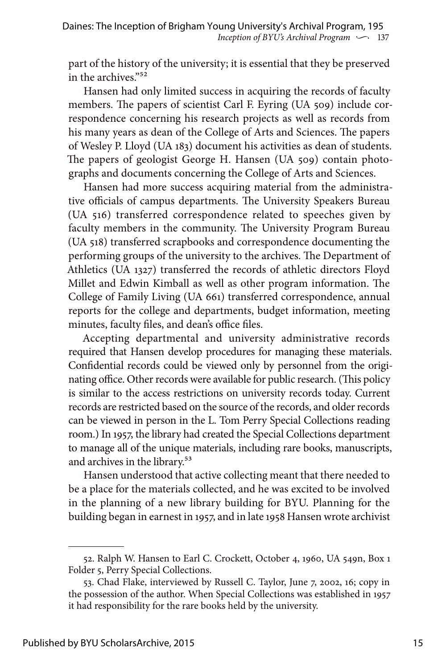part of the history of the university; it is essential that they be preserved in the archives."52

Hansen had only limited success in acquiring the records of faculty members. The papers of scientist Carl F. Eyring (UA 509) include correspondence concerning his research projects as well as records from his many years as dean of the College of Arts and Sciences. The papers of Wesley P. Lloyd (UA 183) document his activities as dean of students. The papers of geologist George H. Hansen (UA 509) contain photographs and documents concerning the College of Arts and Sciences.

Hansen had more success acquiring material from the administrative officials of campus departments. The University Speakers Bureau (UA 516) transferred correspondence related to speeches given by faculty members in the community. The University Program Bureau (UA 518) transferred scrapbooks and correspondence documenting the performing groups of the university to the archives. The Department of Athletics (UA 1327) transferred the records of athletic directors Floyd Millet and Edwin Kimball as well as other program information. The College of Family Living (UA 661) transferred correspondence, annual reports for the college and departments, budget information, meeting minutes, faculty files, and dean's office files.

Accepting departmental and university administrative records required that Hansen develop procedures for managing these materials. Confidential records could be viewed only by personnel from the originating office. Other records were available for public research. (This policy is similar to the access restrictions on university records today. Current records are restricted based on the source of the records, and older records can be viewed in person in the L. Tom Perry Special Collections reading room.) In 1957, the library had created the Special Collections department to manage all of the unique materials, including rare books, manuscripts, and archives in the library.<sup>53</sup>

Hansen understood that active collecting meant that there needed to be a place for the materials collected, and he was excited to be involved in the planning of a new library building for BYU. Planning for the building began in earnest in 1957, and in late 1958 Hansen wrote archivist

<sup>52.</sup> Ralph W. Hansen to Earl C. Crockett, October 4, 1960, UA 549n, Box 1 Folder 5, Perry Special Collections.

<sup>53.</sup> Chad Flake, interviewed by Russell C. Taylor, June 7, 2002, 16; copy in the possession of the author. When Special Collections was established in 1957 it had responsibility for the rare books held by the university.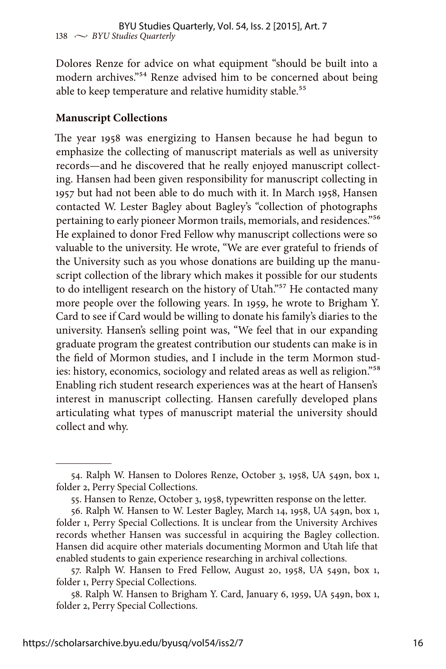Dolores Renze for advice on what equipment "should be built into a modern archives."54 Renze advised him to be concerned about being able to keep temperature and relative humidity stable.<sup>55</sup>

### **Manuscript Collections**

The year 1958 was energizing to Hansen because he had begun to emphasize the collecting of manuscript materials as well as university records—and he discovered that he really enjoyed manuscript collecting. Hansen had been given responsibility for manuscript collecting in 1957 but had not been able to do much with it. In March 1958, Hansen contacted W. Lester Bagley about Bagley's "collection of photographs pertaining to early pioneer Mormon trails, memorials, and residences."56 He explained to donor Fred Fellow why manuscript collections were so valuable to the university. He wrote, "We are ever grateful to friends of the University such as you whose donations are building up the manuscript collection of the library which makes it possible for our students to do intelligent research on the history of Utah."<sup>57</sup> He contacted many more people over the following years. In 1959, he wrote to Brigham Y. Card to see if Card would be willing to donate his family's diaries to the university. Hansen's selling point was, "We feel that in our expanding graduate program the greatest contribution our students can make is in the field of Mormon studies, and I include in the term Mormon studies: history, economics, sociology and related areas as well as religion."<sup>58</sup> Enabling rich student research experiences was at the heart of Hansen's interest in manuscript collecting. Hansen carefully developed plans articulating what types of manuscript material the university should collect and why.

<sup>54.</sup> Ralph W. Hansen to Dolores Renze, October 3, 1958, UA 549n, box 1, folder 2, Perry Special Collections.

<sup>55.</sup> Hansen to Renze, October 3, 1958, typewritten response on the letter.

<sup>56.</sup> Ralph W. Hansen to W. Lester Bagley, March 14, 1958, UA 549n, box 1, folder 1, Perry Special Collections. It is unclear from the University Archives records whether Hansen was successful in acquiring the Bagley collection. Hansen did acquire other materials documenting Mormon and Utah life that enabled students to gain experience researching in archival collections.

<sup>57.</sup> Ralph W. Hansen to Fred Fellow, August 20, 1958, UA 549n, box 1, folder 1, Perry Special Collections.

<sup>58.</sup> Ralph W. Hansen to Brigham Y. Card, January 6, 1959, UA 549n, box 1, folder 2, Perry Special Collections.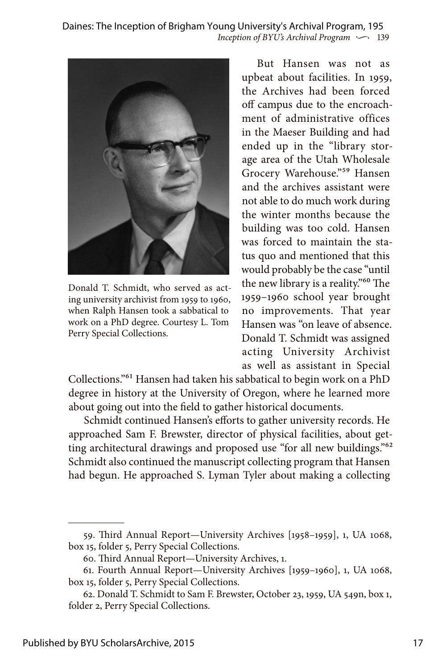*Inception of BYU's Archival Program*  $\sim$  139 Daines: The Inception of Brigham Young University's Archival Program, 195



Donald T. Schmidt, who served as acting university archivist from 1959 to 1960, when Ralph Hansen took a sabbatical to work on a PhD degree. Courtesy L. Tom Perry Special Collections.

But Hansen was not as upbeat about facilities. In 1959, the Archives had been forced off campus due to the encroachment of administrative offices in the Maeser Building and had ended up in the "library storage area of the Utah Wholesale Grocery Warehouse."59 Hansen and the archives assistant were not able to do much work during the winter months because the building was too cold. Hansen was forced to maintain the status quo and mentioned that this would probably be the case "until the new library is a reality."60 The 1959–1960 school year brought no improvements. That year Hansen was "on leave of absence. Donald T. Schmidt was assigned acting University Archivist as well as assistant in Special

Collections."61 Hansen had taken his sabbatical to begin work on a PhD degree in history at the University of Oregon, where he learned more about going out into the field to gather historical documents.

Schmidt continued Hansen's efforts to gather university records. He approached Sam F. Brewster, director of physical facilities, about getting architectural drawings and proposed use "for all new buildings."<sup>62</sup> Schmidt also continued the manuscript collecting program that Hansen had begun. He approached S. Lyman Tyler about making a collecting

<sup>59.</sup> Third Annual Report—University Archives [1958–1959], 1, UA 1068, box 15, folder 5, Perry Special Collections.

<sup>60.</sup> Third Annual Report—University Archives, 1.

<sup>61.</sup> Fourth Annual Report—University Archives [1959–1960], 1, UA 1068, box 15, folder 5, Perry Special Collections.

<sup>62.</sup> Donald T. Schmidt to Sam F. Brewster, October 23, 1959, UA 549n, box 1, folder 2, Perry Special Collections.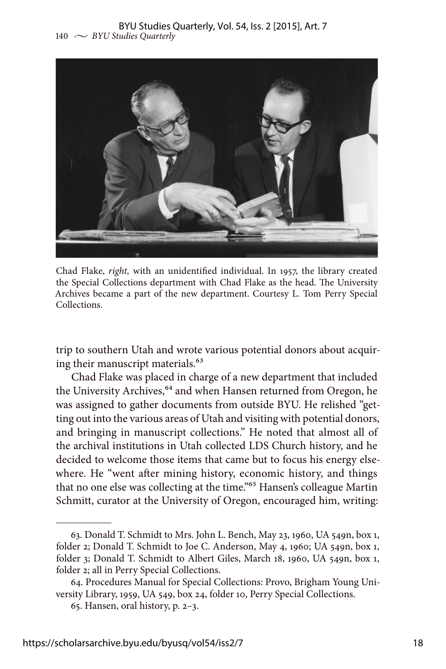

Chad Flake, *right,* with an unidentified individual. In 1957, the library created the Special Collections department with Chad Flake as the head. The University Archives became a part of the new department. Courtesy L. Tom Perry Special Collections.

trip to southern Utah and wrote various potential donors about acquiring their manuscript materials.<sup>63</sup>

Chad Flake was placed in charge of a new department that included the University Archives,<sup>64</sup> and when Hansen returned from Oregon, he was assigned to gather documents from outside BYU. He relished "getting out into the various areas of Utah and visiting with potential donors, and bringing in manuscript collections." He noted that almost all of the archival institutions in Utah collected LDS Church history, and he decided to welcome those items that came but to focus his energy elsewhere. He "went after mining history, economic history, and things that no one else was collecting at the time."<sup>65</sup> Hansen's colleague Martin Schmitt, curator at the University of Oregon, encouraged him, writing:

<sup>63.</sup> Donald T. Schmidt to Mrs. John L. Bench, May 23, 1960, UA 549n, box 1, folder 2; Donald T. Schmidt to Joe C. Anderson, May 4, 1960; UA 549n, box 1, folder 3; Donald T. Schmidt to Albert Giles, March 18, 1960, UA 549n, box 1, folder 2; all in Perry Special Collections.

<sup>64.</sup> Procedures Manual for Special Collections: Provo, Brigham Young University Library, 1959, UA 549, box 24, folder 10, Perry Special Collections.

<sup>65.</sup> Hansen, oral history, p. 2–3.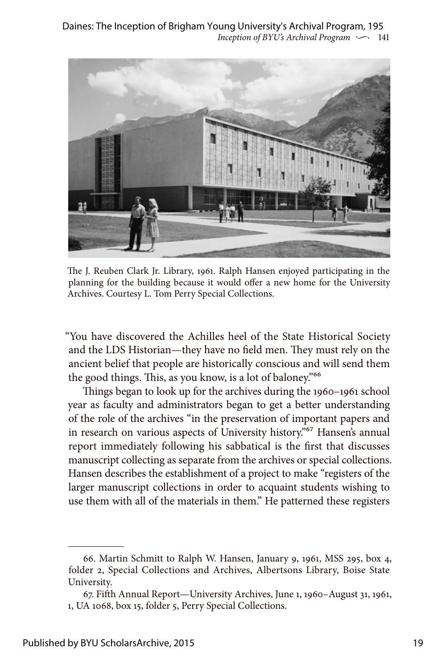

The J. Reuben Clark Jr. Library, 1961. Ralph Hansen enjoyed participating in the planning for the building because it would offer a new home for the University Archives. Courtesy L. Tom Perry Special Collections.

"You have discovered the Achilles heel of the State Historical Society and the LDS Historian—they have no field men. They must rely on the ancient belief that people are historically conscious and will send them the good things. This, as you know, is a lot of baloney.<sup>766</sup>

Things began to look up for the archives during the 1960–1961 school year as faculty and administrators began to get a better understanding of the role of the archives "in the preservation of important papers and in research on various aspects of University history.<sup>"67</sup> Hansen's annual report immediately following his sabbatical is the first that discusses manuscript collecting as separate from the archives or special collections. Hansen describes the establishment of a project to make "registers of the larger manuscript collections in order to acquaint students wishing to use them with all of the materials in them." He patterned these registers

<sup>66.</sup> Martin Schmitt to Ralph W. Hansen, January 9, 1961, MSS 295, box 4, folder 2, Special Collections and Archives, Albertsons Library, Boise State University.

<sup>67.</sup> Fifth Annual Report—University Archives, June 1, 1960–August 31, 1961, 1, UA 1068, box 15, folder 5, Perry Special Collections.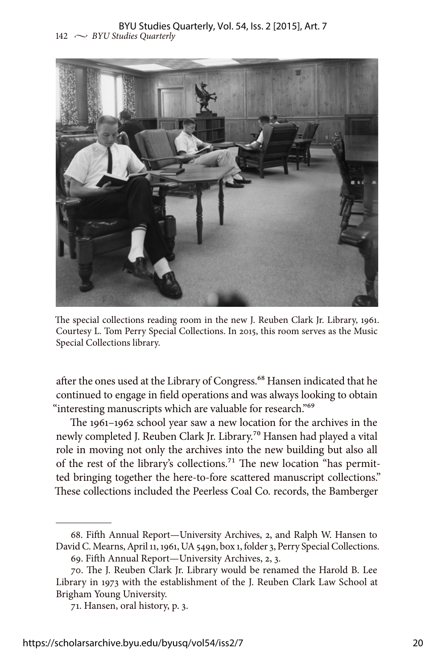

The special collections reading room in the new J. Reuben Clark Jr. Library, 1961. Courtesy L. Tom Perry Special Collections. In 2015, this room serves as the Music Special Collections library.

after the ones used at the Library of Congress.<sup>68</sup> Hansen indicated that he continued to engage in field operations and was always looking to obtain "interesting manuscripts which are valuable for research."<sup>69</sup>

The 1961–1962 school year saw a new location for the archives in the newly completed J. Reuben Clark Jr. Library.70 Hansen had played a vital role in moving not only the archives into the new building but also all of the rest of the library's collections.<sup>71</sup> The new location "has permitted bringing together the here-to-fore scattered manuscript collections." These collections included the Peerless Coal Co. records, the Bamberger

<sup>68.</sup> Fifth Annual Report—University Archives, 2, and Ralph W. Hansen to David C. Mearns, April 11, 1961, UA 549n, box 1, folder 3, Perry Special Collections.

<sup>69.</sup> Fifth Annual Report—University Archives, 2, 3.

<sup>70.</sup> The J. Reuben Clark Jr. Library would be renamed the Harold B. Lee Library in 1973 with the establishment of the J. Reuben Clark Law School at Brigham Young University.

<sup>71.</sup> Hansen, oral history, p. 3.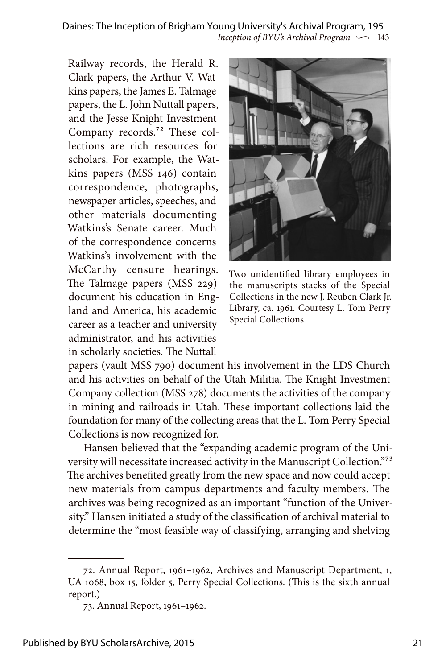*Inception of BYU's Archival Program*  $\sim$  143 Daines: The Inception of Brigham Young University's Archival Program, 195

Railway records, the Herald R. Clark papers, the Arthur V. Watkins papers, the James E. Talmage papers, the L. John Nuttall papers, and the Jesse Knight Investment Company records.72 These collections are rich resources for scholars. For example, the Watkins papers (MSS 146) contain correspondence, photographs, newspaper articles, speeches, and other materials documenting Watkins's Senate career. Much of the correspondence concerns Watkins's involvement with the McCarthy censure hearings. The Talmage papers (MSS 229) document his education in England and America, his academic career as a teacher and university administrator, and his activities in scholarly societies. The Nuttall



Two unidentified library employees in the manuscripts stacks of the Special Collections in the new J. Reuben Clark Jr. Library, ca. 1961. Courtesy L. Tom Perry Special Collections.

papers (vault MSS 790) document his involvement in the LDS Church and his activities on behalf of the Utah Militia. The Knight Investment Company collection (MSS 278) documents the activities of the company in mining and railroads in Utah. These important collections laid the foundation for many of the collecting areas that the L. Tom Perry Special Collections is now recognized for.

Hansen believed that the "expanding academic program of the University will necessitate increased activity in the Manuscript Collection."73 The archives benefited greatly from the new space and now could accept new materials from campus departments and faculty members. The archives was being recognized as an important "function of the University." Hansen initiated a study of the classification of archival material to determine the "most feasible way of classifying, arranging and shelving

<sup>72.</sup> Annual Report, 1961–1962, Archives and Manuscript Department, 1, UA 1068, box 15, folder 5, Perry Special Collections. (This is the sixth annual report.)

<sup>73.</sup> Annual Report, 1961–1962.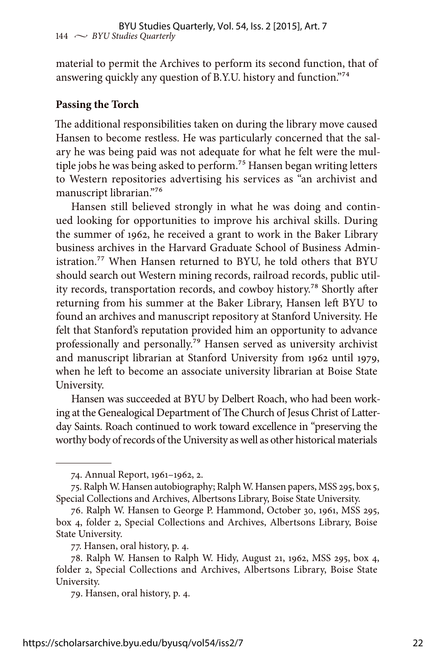material to permit the Archives to perform its second function, that of answering quickly any question of B.Y.U. history and function."74

#### **Passing the Torch**

The additional responsibilities taken on during the library move caused Hansen to become restless. He was particularly concerned that the salary he was being paid was not adequate for what he felt were the multiple jobs he was being asked to perform.<sup>75</sup> Hansen began writing letters to Western repositories advertising his services as "an archivist and manuscript librarian."76

Hansen still believed strongly in what he was doing and continued looking for opportunities to improve his archival skills. During the summer of 1962, he received a grant to work in the Baker Library business archives in the Harvard Graduate School of Business Administration.<sup>77</sup> When Hansen returned to BYU, he told others that BYU should search out Western mining records, railroad records, public utility records, transportation records, and cowboy history.78 Shortly after returning from his summer at the Baker Library, Hansen left BYU to found an archives and manuscript repository at Stanford University. He felt that Stanford's reputation provided him an opportunity to advance professionally and personally.79 Hansen served as university archivist and manuscript librarian at Stanford University from 1962 until 1979, when he left to become an associate university librarian at Boise State University.

Hansen was succeeded at BYU by Delbert Roach, who had been working at the Genealogical Department of The Church of Jesus Christ of Latterday Saints. Roach continued to work toward excellence in "preserving the worthy body of records of the University as well as other historical materials

<sup>74.</sup> Annual Report, 1961–1962, 2.

<sup>75.</sup> Ralph W. Hansen autobiography; Ralph W. Hansen papers, MSS 295, box 5, Special Collections and Archives, Albertsons Library, Boise State University.

<sup>76.</sup> Ralph W. Hansen to George P. Hammond, October 30, 1961, MSS 295, box 4, folder 2, Special Collections and Archives, Albertsons Library, Boise State University.

<sup>77.</sup> Hansen, oral history, p. 4.

<sup>78.</sup> Ralph W. Hansen to Ralph W. Hidy, August 21, 1962, MSS 295, box 4, folder 2, Special Collections and Archives, Albertsons Library, Boise State University.

<sup>79.</sup> Hansen, oral history, p. 4.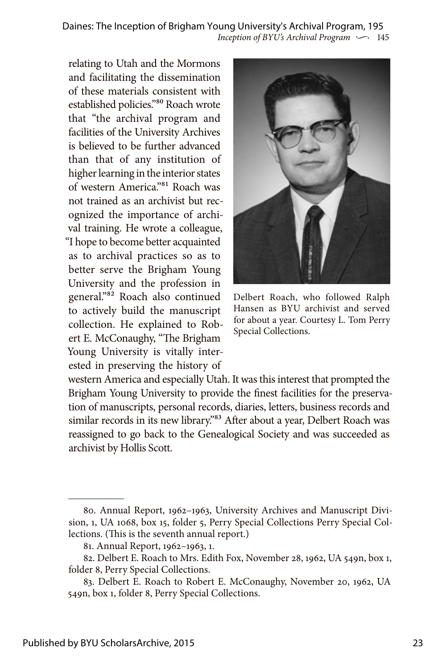*Inception of BYU's Archival Program*  $\sim$  145 Daines: The Inception of Brigham Young University's Archival Program, 195

relating to Utah and the Mormons and facilitating the dissemination of these materials consistent with established policies."80 Roach wrote that "the archival program and facilities of the University Archives is believed to be further advanced than that of any institution of higher learning in the interior states of western America."81 Roach was not trained as an archivist but recognized the importance of archival training. He wrote a colleague, "I hope to become better acquainted as to archival practices so as to better serve the Brigham Young University and the profession in general."82 Roach also continued to actively build the manuscript collection. He explained to Robert E. McConaughy, "The Brigham Young University is vitally interested in preserving the history of



Delbert Roach, who followed Ralph Hansen as BYU archivist and served for about a year. Courtesy L. Tom Perry Special Collections.

western America and especially Utah. It was this interest that prompted the Brigham Young University to provide the finest facilities for the preservation of manuscripts, personal records, diaries, letters, business records and similar records in its new library."<sup>83</sup> After about a year, Delbert Roach was reassigned to go back to the Genealogical Society and was succeeded as archivist by Hollis Scott.

<sup>80.</sup> Annual Report, 1962–1963, University Archives and Manuscript Division, 1, UA 1068, box 15, folder 5, Perry Special Collections Perry Special Collections. (This is the seventh annual report.)

<sup>81.</sup> Annual Report, 1962–1963, 1.

<sup>82.</sup> Delbert E. Roach to Mrs. Edith Fox, November 28, 1962, UA 549n, box 1, folder 8, Perry Special Collections.

<sup>83.</sup> Delbert E. Roach to Robert E. McConaughy, November 20, 1962, UA 549n, box 1, folder 8, Perry Special Collections.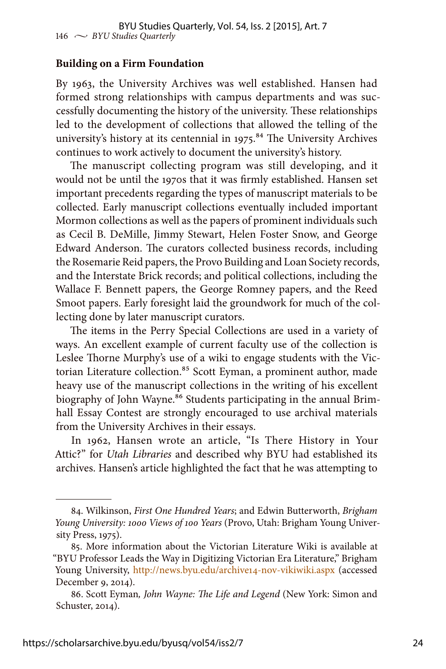#### **Building on a Firm Foundation**

By 1963, the University Archives was well established. Hansen had formed strong relationships with campus departments and was successfully documenting the history of the university. These relationships led to the development of collections that allowed the telling of the university's history at its centennial in 1975.<sup>84</sup> The University Archives continues to work actively to document the university's history.

The manuscript collecting program was still developing, and it would not be until the 1970s that it was firmly established. Hansen set important precedents regarding the types of manuscript materials to be collected. Early manuscript collections eventually included important Mormon collections as well as the papers of prominent individuals such as Cecil B. DeMille, Jimmy Stewart, Helen Foster Snow, and George Edward Anderson. The curators collected business records, including the Rosemarie Reid papers, the Provo Building and Loan Society records, and the Interstate Brick records; and political collections, including the Wallace F. Bennett papers, the George Romney papers, and the Reed Smoot papers. Early foresight laid the groundwork for much of the collecting done by later manuscript curators.

The items in the Perry Special Collections are used in a variety of ways. An excellent example of current faculty use of the collection is Leslee Thorne Murphy's use of a wiki to engage students with the Victorian Literature collection.<sup>85</sup> Scott Eyman, a prominent author, made heavy use of the manuscript collections in the writing of his excellent biography of John Wayne.<sup>86</sup> Students participating in the annual Brimhall Essay Contest are strongly encouraged to use archival materials from the University Archives in their essays.

In 1962, Hansen wrote an article, "Is There History in Your Attic?" for *Utah Libraries* and described why BYU had established its archives. Hansen's article highlighted the fact that he was attempting to

<sup>84.</sup> Wilkinson, *First One Hundred Years*; and Edwin Butterworth, *Brigham Young University: 1000 Views of 100 Years* (Provo, Utah: Brigham Young University Press, 1975).

<sup>85.</sup> More information about the Victorian Literature Wiki is available at "BYU Professor Leads the Way in Digitizing Victorian Era Literature," Brigham Young University, <http://news.byu.edu/archive14-nov-vikiwiki.aspx> (accessed December 9, 2014).

<sup>86.</sup> Scott Eyman*, John Wayne: The Life and Legend* (New York: Simon and Schuster, 2014).